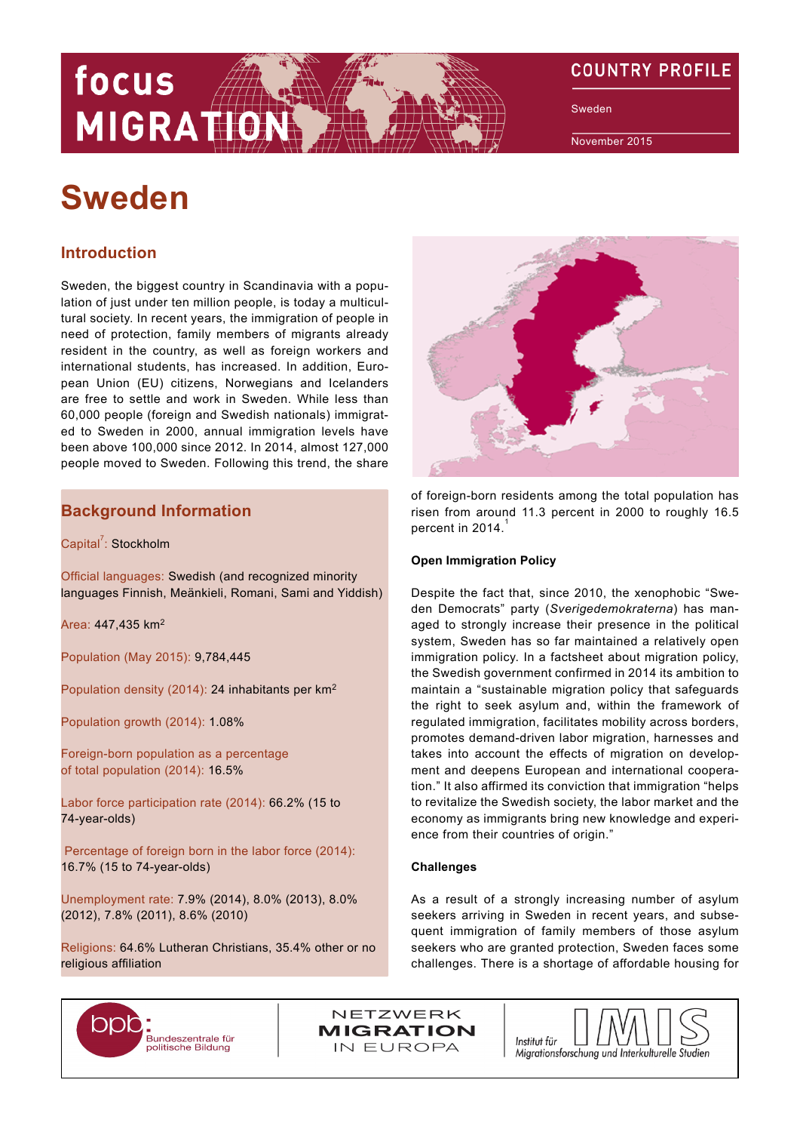# **COUNTRY PROFILE**

Sweden

November 2015

# **Sweden**

focus

**MIGRATIO** 

# **Introduction**

Sweden, the biggest country in Scandinavia with a population of just under ten million people, is today a multicultural society. In recent years, the immigration of people in need of protection, family members of migrants already resident in the country, as well as foreign workers and international students, has increased. In addition, European Union (EU) citizens, Norwegians and Icelanders are free to settle and work in Sweden. While less than 60,000 people (foreign and Swedish nationals) immigrated to Sweden in 2000, annual immigration levels have been above 100,000 since 2012. In 2014, almost 127,000 people moved to Sweden. Following this trend, the share

# **Background Information**

Capital<sup>7</sup>: Stockholm

Official languages: Swedish (and recognized minority languages Finnish, Meänkieli, Romani, Sami and Yiddish)

Area: 447,435 km<sup>2</sup>

Population (May 2015): 9,784,445

Population density (2014): 24 inhabitants per km<sup>2</sup>

Population growth (2014): 1.08%

Foreign-born population as a percentage of total population (2014): 16.5%

Labor force participation rate (2014): 66.2% (15 to 74-year-olds)

 Percentage of foreign born in the labor force (2014): 16.7% (15 to 74-year-olds)

Unemployment rate: 7.9% (2014), 8.0% (2013), 8.0% (2012), 7.8% (2011), 8.6% (2010)

Religions: 64.6% Lutheran Christians, 35.4% other or no religious affiliation



of foreign-born residents among the total population has risen from around 11.3 percent in 2000 to roughly 16.5 percent in 2014.

### **Open Immigration Policy**

Despite the fact that, since 2010, the xenophobic "Sweden Democrats" party (*Sverigedemokraterna*) has managed to strongly increase their presence in the political system, Sweden has so far maintained a relatively open immigration policy. In a factsheet about migration policy, the Swedish government confirmed in 2014 its ambition to maintain a "sustainable migration policy that safeguards the right to seek asylum and, within the framework of regulated immigration, facilitates mobility across borders, promotes demand-driven labor migration, harnesses and takes into account the effects of migration on development and deepens European and international cooperation." It also affirmed its conviction that immigration "helps to revitalize the Swedish society, the labor market and the economy as immigrants bring new knowledge and experience from their countries of origin."

#### **Challenges**

As a result of a strongly increasing number of asylum seekers arriving in Sweden in recent years, and subsequent immigration of family members of those asylum seekers who are granted protection, Sweden faces some challenges. There is a shortage of affordable housing for



NETZWERK **MIGRATION** IN EUROPA

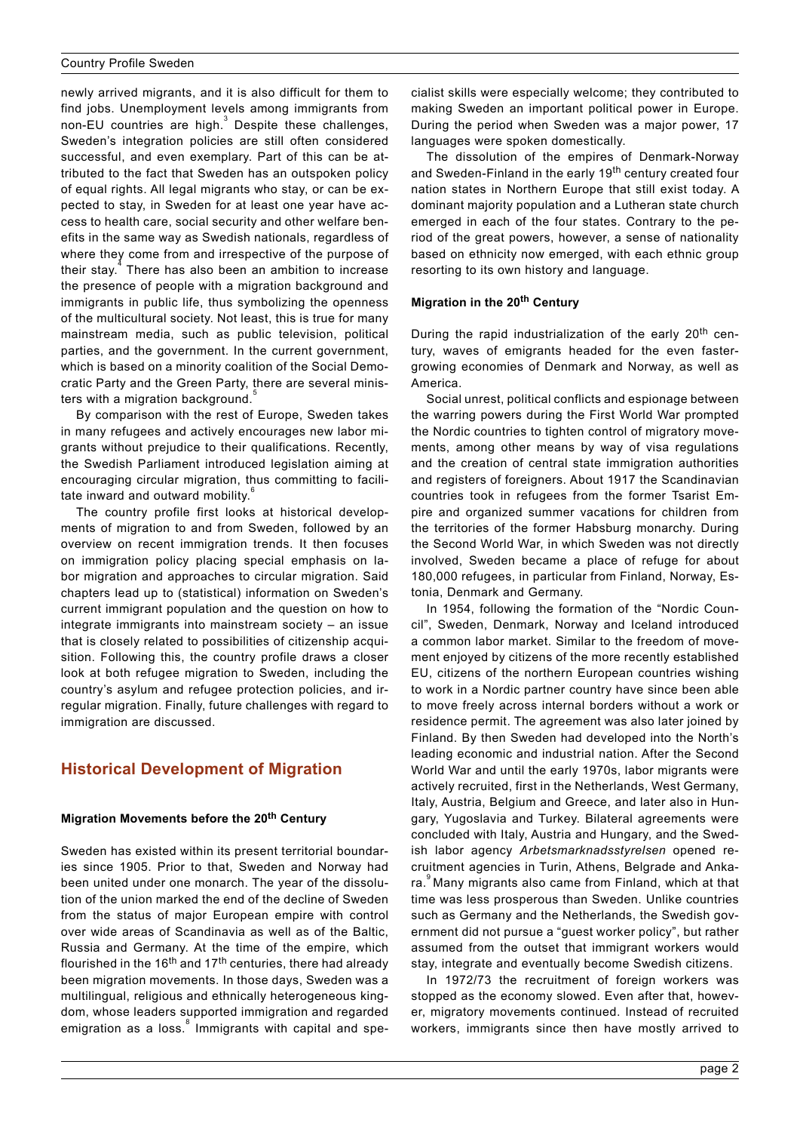newly arrived migrants, and it is also difficult for them to find jobs. Unemployment levels among immigrants from non-EU countries are high. $3$  Despite these challenges, Sweden's integration policies are still often considered successful, and even exemplary. Part of this can be attributed to the fact that Sweden has an outspoken policy of equal rights. All legal migrants who stay, or can be expected to stay, in Sweden for at least one year have access to health care, social security and other welfare benefits in the same way as Swedish nationals, regardless of where they come from and irrespective of the purpose of their stay.<sup>4</sup> There has also been an ambition to increase the presence of people with a migration background and immigrants in public life, thus symbolizing the openness of the multicultural society. Not least, this is true for many mainstream media, such as public television, political parties, and the government. In the current government, which is based on a minority coalition of the Social Democratic Party and the Green Party, there are several ministers with a migration background.

By comparison with the rest of Europe, Sweden takes in many refugees and actively encourages new labor migrants without prejudice to their qualifications. Recently, the Swedish Parliament introduced legislation aiming at encouraging circular migration, thus committing to facilitate inward and outward mobility.

The country profile first looks at historical developments of migration to and from Sweden, followed by an overview on [recent immigration trends.](#page-2-0) It then focuses on [immigration policy](#page-3-0) placing special emphasis on [la](#page-4-0)[bor migration and approaches to circular migration](#page-4-0). Said chapters lead up to (statistical) information on Sweden's current [immigrant population](#page-6-0) and the question on how to [integrate](#page-6-0) immigrants into mainstream society – an issue that is closely related to possibilities of [citizenship acqui](#page-8-0)[sition](#page-8-0). Following this, the country profile draws a closer look at both [refugee migration](#page-8-0) to Sweden, including the country's asylum and refugee protection policies, and [ir](#page-10-0)[regular migration.](#page-10-0) Finally, [future challenges](#page-11-0) with regard to immigration are discussed.

# **Historical Development of Migration**

### **Migration Movements before the 20th Century**

Sweden has existed within its present territorial boundaries since 1905. Prior to that, Sweden and Norway had been united under one monarch. The year of the dissolution of the union marked the end of the decline of Sweden from the status of major European empire with control over wide areas of Scandinavia as well as of the Baltic, Russia and Germany. At the time of the empire, which flourished in the 16<sup>th</sup> and 17<sup>th</sup> centuries, there had already been migration movements. In those days, Sweden was a multilingual, religious and ethnically heterogeneous kingdom, whose leaders supported immigration and regarded emigration as a loss.<sup>8</sup> Immigrants with capital and specialist skills were especially welcome; they contributed to making Sweden an important political power in Europe. During the period when Sweden was a major power, 17 languages were spoken domestically.

The dissolution of the empires of Denmark-Norway and Sweden-Finland in the early 19<sup>th</sup> century created four nation states in Northern Europe that still exist today. A dominant majority population and a Lutheran state church emerged in each of the four states. Contrary to the period of the great powers, however, a sense of nationality based on ethnicity now emerged, with each ethnic group resorting to its own history and language.

### **Migration in the 20th Century**

During the rapid industrialization of the early 20<sup>th</sup> century, waves of emigrants headed for the even fastergrowing economies of Denmark and Norway, as well as America.

Social unrest, political conflicts and espionage between the warring powers during the First World War prompted the Nordic countries to tighten control of migratory movements, among other means by way of visa regulations and the creation of central state immigration authorities and registers of foreigners. About 1917 the Scandinavian countries took in refugees from the former Tsarist Empire and organized summer vacations for children from the territories of the former Habsburg monarchy. During the Second World War, in which Sweden was not directly involved, Sweden became a place of refuge for about 180,000 refugees, in particular from Finland, Norway, Estonia, Denmark and Germany.

In 1954, following the formation of the "Nordic Council", Sweden, Denmark, Norway and Iceland introduced a common labor market. Similar to the freedom of movement enjoyed by citizens of the more recently established EU, citizens of the northern European countries wishing to work in a Nordic partner country have since been able to move freely across internal borders without a work or residence permit. The agreement was also later joined by Finland. By then Sweden had developed into the North's leading economic and industrial nation. After the Second World War and until the early 1970s, labor migrants were actively recruited, first in the Netherlands, West Germany, Italy, Austria, Belgium and Greece, and later also in Hungary, Yugoslavia and Turkey. Bilateral agreements were concluded with Italy, Austria and Hungary, and the Swedish labor agency *Arbetsmarknadsstyrelsen* opened recruitment agencies in Turin, Athens, Belgrade and Ankara.<sup>9</sup> Many migrants also came from Finland, which at that time was less prosperous than Sweden. Unlike countries such as Germany and the Netherlands, the Swedish government did not pursue a "guest worker policy", but rather assumed from the outset that immigrant workers would stay, integrate and eventually become Swedish citizens.

In 1972/73 the recruitment of foreign workers was stopped as the economy slowed. Even after that, however, migratory movements continued. Instead of recruited workers, immigrants since then have mostly arrived to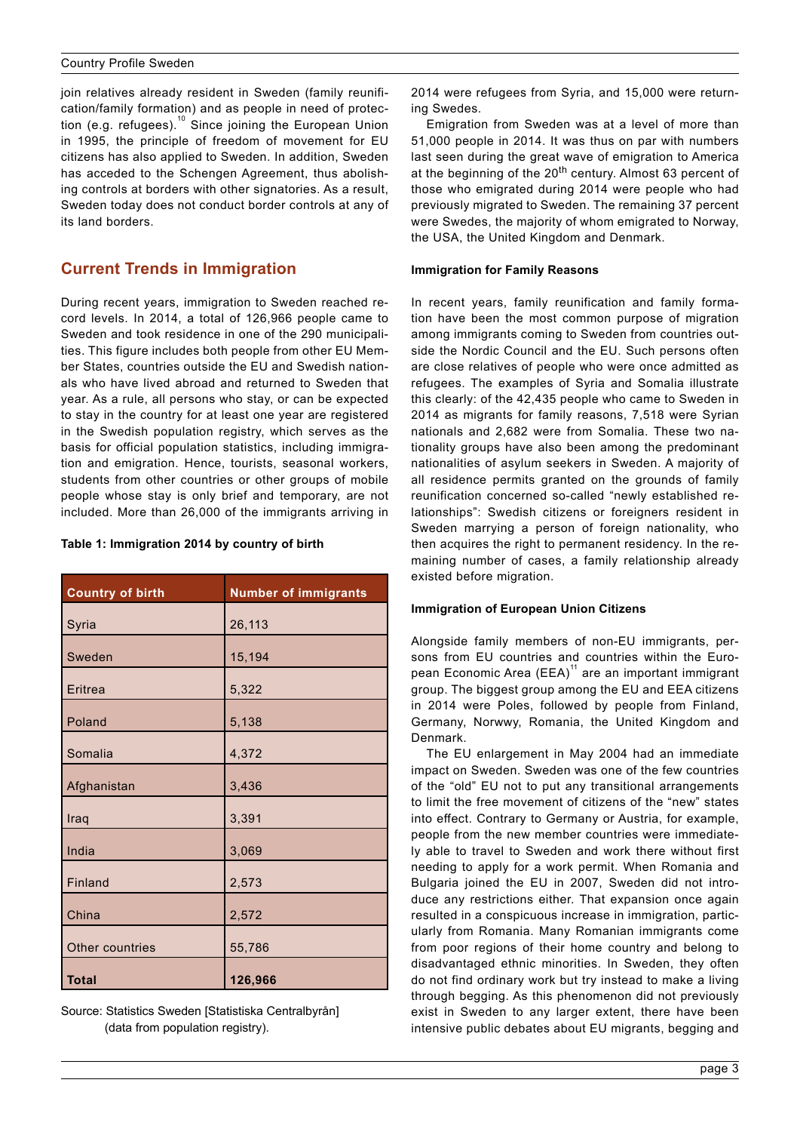<span id="page-2-0"></span>join relatives already resident in Sweden (family reunification/family formation) and as people in need of protection (e.g. refugees).<sup>10</sup> Since joining the European Union in 1995, the principle of freedom of movement for EU citizens has also applied to Sweden. In addition, Sweden has acceded to the Schengen Agreement, thus abolishing controls at borders with other signatories. As a result, Sweden today does not conduct border controls at any of its land borders.

# **Current Trends in Immigration**

During recent years, immigration to Sweden reached record levels. In 2014, a total of 126,966 people came to Sweden and took residence in one of the 290 municipalities. This figure includes both people from other EU Member States, countries outside the EU and Swedish nationals who have lived abroad and returned to Sweden that year. As a rule, all persons who stay, or can be expected to stay in the country for at least one year are registered in the Swedish population registry, which serves as the basis for official population statistics, including immigration and emigration. Hence, tourists, seasonal workers, students from other countries or other groups of mobile people whose stay is only brief and temporary, are not included. More than 26,000 of the immigrants arriving in

### **Table 1: Immigration 2014 by country of birth**

| <b>Country of birth</b> | <b>Number of immigrants</b> |
|-------------------------|-----------------------------|
| Syria                   | 26,113                      |
| Sweden                  | 15,194                      |
| Eritrea                 | 5,322                       |
| Poland                  | 5,138                       |
| Somalia                 | 4,372                       |
| Afghanistan             | 3,436                       |
| Iraq                    | 3,391                       |
| India                   | 3,069                       |
| Finland                 | 2,573                       |
| China                   | 2,572                       |
|                         |                             |
| Other countries         | 55,786                      |
| <b>Total</b>            | 126,966                     |

Source: Statistics Sweden [[Statistiska Centralbyrån\]](http://www.scb.se/sv_/Hitta-statistik/Statistik-efter-amne/Befolkning/Befolkningens-sammansattning/Befolkningsstatistik/25788/25795/Helarsstatistik---Riket/385477/)   [\(data from population registry\).](http://www.scb.se/sv_/Hitta-statistik/Statistik-efter-amne/Befolkning/Befolkningens-sammansattning/Befolkningsstatistik/25788/25795/Helarsstatistik---Riket/385477/)

2014 were refugees from Syria, and 15,000 were returning Swedes.

Emigration from Sweden was at a level of more than 51,000 people in 2014. It was thus on par with numbers last seen during the great wave of emigration to America at the beginning of the 20<sup>th</sup> century. Almost 63 percent of those who emigrated during 2014 were people who had previously migrated to Sweden. The remaining 37 percent were Swedes, the majority of whom emigrated to Norway, the USA, the United Kingdom and Denmark.

### **Immigration for Family Reasons**

In recent years, family reunification and family formation have been the most common purpose of migration among immigrants coming to Sweden from countries outside the Nordic Council and the EU. Such persons often are close relatives of people who were once admitted as refugees. The examples of Syria and Somalia illustrate this clearly: of the 42,435 people who came to Sweden in 2014 as migrants for family reasons, 7,518 were Syrian nationals and 2,682 were from Somalia. These two nationality groups have also been among the predominant nationalities of asylum seekers in Sweden. A majority of all residence permits granted on the grounds of family reunification concerned so-called "newly established relationships": Swedish citizens or foreigners resident in Sweden marrying a person of foreign nationality, who then acquires the right to permanent residency. In the remaining number of cases, a family relationship already existed before migration.

# **Immigration of European Union Citizens**

Alongside family members of non-EU immigrants, persons from EU countries and countries within the European Economic Area (EEA)<sup>11</sup> are an important immigrant group. The biggest group among the EU and EEA citizens in 2014 were Poles, followed by people from Finland, Germany, Norwwy, Romania, the United Kingdom and Denmark.

The EU enlargement in May 2004 had an immediate impact on Sweden. Sweden was one of the few countries of the "old" EU not to put any transitional arrangements to limit the free movement of citizens of the "new" states into effect. Contrary to Germany or Austria, for example, people from the new member countries were immediately able to travel to Sweden and work there without first needing to apply for a work permit. When Romania and Bulgaria joined the EU in 2007, Sweden did not introduce any restrictions either. That expansion once again resulted in a conspicuous increase in immigration, particularly from Romania. Many Romanian immigrants come from poor regions of their home country and belong to disadvantaged ethnic minorities. In Sweden, they often do not find ordinary work but try instead to make a living through begging. As this phenomenon did not previously exist in Sweden to any larger extent, there have been intensive public debates about EU migrants, begging and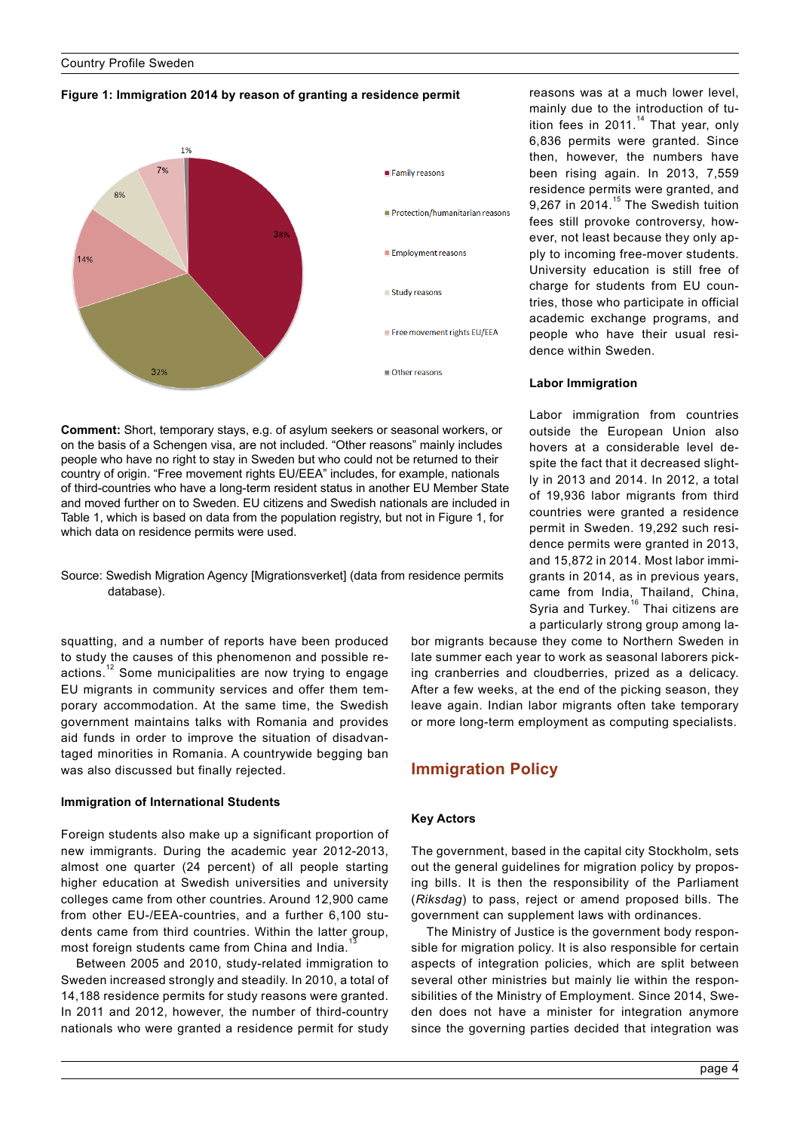### <span id="page-3-0"></span>**Figure 1: Immigration 2014 by reason of granting a residence permit**



**Comment:** Short, temporary stays, e.g. of asylum seekers or seasonal workers, or on the basis of a Schengen visa, are not included. "Other reasons" mainly includes people who have no right to stay in Sweden but who could not be returned to their country of origin. "Free movement rights EU/EEA" includes, for example, nationals of third-countries who have a long-term resident status in another EU Member State and moved further on to Sweden. EU citizens and Swedish nationals are included in Table 1, which is based on data from the population registry, but not in Figure 1, for which data on residence permits were used.

Source: Swedish Migration Agency [\[Migrationsverket\] \(data from residence permits](http://www.migrationsverket.se/download/18.39a9cd9514a346077211b08/1422893141722/Beviljade%2Buppeh%25C3%25A5llstillst%25C3%25A5nd%2Boch%2Bregistrerade%2Buppeh%25C3%25A5llsr%25C3%25A4tter%2B2014.pdf)   [database\).](http://www.migrationsverket.se/download/18.39a9cd9514a346077211b08/1422893141722/Beviljade%2Buppeh%25C3%25A5llstillst%25C3%25A5nd%2Boch%2Bregistrerade%2Buppeh%25C3%25A5llsr%25C3%25A4tter%2B2014.pdf)

squatting, and a number of reports have been produced to study the causes of this phenomenon and possible reactions.<sup>12</sup> Some municipalities are now trying to engage EU migrants in community services and offer them temporary accommodation. At the same time, the Swedish government maintains talks with Romania and provides aid funds in order to improve the situation of disadvantaged minorities in Romania. A countrywide begging ban was also discussed but finally rejected.

### **Immigration of International Students**

Foreign students also make up a significant proportion of new immigrants. During the academic year 2012-2013, almost one quarter (24 percent) of all people starting higher education at Swedish universities and university colleges came from other countries. Around 12,900 came from other EU-/EEA-countries, and a further 6,100 students came from third countries. Within the latter group, most foreign students came from China and India.

Between 2005 and 2010, study-related immigration to Sweden increased strongly and steadily. In 2010, a total of 14,188 residence permits for study reasons were granted. In 2011 and 2012, however, the number of third-country nationals who were granted a residence permit for study

reasons was at a much lower level, mainly due to the introduction of tuition fees in 2011. $14$  That year, only 6,836 permits were granted. Since then, however, the numbers have been rising again. In 2013, 7,559 residence permits were granted, and 9,267 in 2014.<sup>15</sup> The Swedish tuition fees still provoke controversy, however, not least because they only apply to incoming free-mover students. University education is still free of charge for students from EU countries, those who participate in official academic exchange programs, and people who have their usual residence within Sweden.

#### **Labor Immigration**

Labor immigration from countries outside the European Union also hovers at a considerable level despite the fact that it decreased slightly in 2013 and 2014. In 2012, a total of 19,936 labor migrants from third countries were granted a residence permit in Sweden. 19,292 such residence permits were granted in 2013, and 15,872 in 2014. Most labor immigrants in 2014, as in previous years, came from India, Thailand, China, Syria and Turkey.<sup>16</sup> Thai citizens are a particularly strong group among la-

bor migrants because they come to Northern Sweden in late summer each year to work as seasonal laborers picking cranberries and cloudberries, prized as a delicacy. After a few weeks, at the end of the picking season, they leave again. Indian labor migrants often take temporary or more long-term employment as computing specialists.

# **Immigration Policy**

### **Key Actors**

The government, based in the capital city Stockholm, sets out the general guidelines for migration policy by proposing bills. It is then the responsibility of the Parliament (*Riksdag*) to pass, reject or amend proposed bills. The government can supplement laws with ordinances.

The Ministry of Justice is the government body responsible for migration policy. It is also responsible for certain aspects of integration policies, which are split between several other ministries but mainly lie within the responsibilities of the Ministry of Employment. Since 2014, Sweden does not have a minister for integration anymore since the governing parties decided that integration was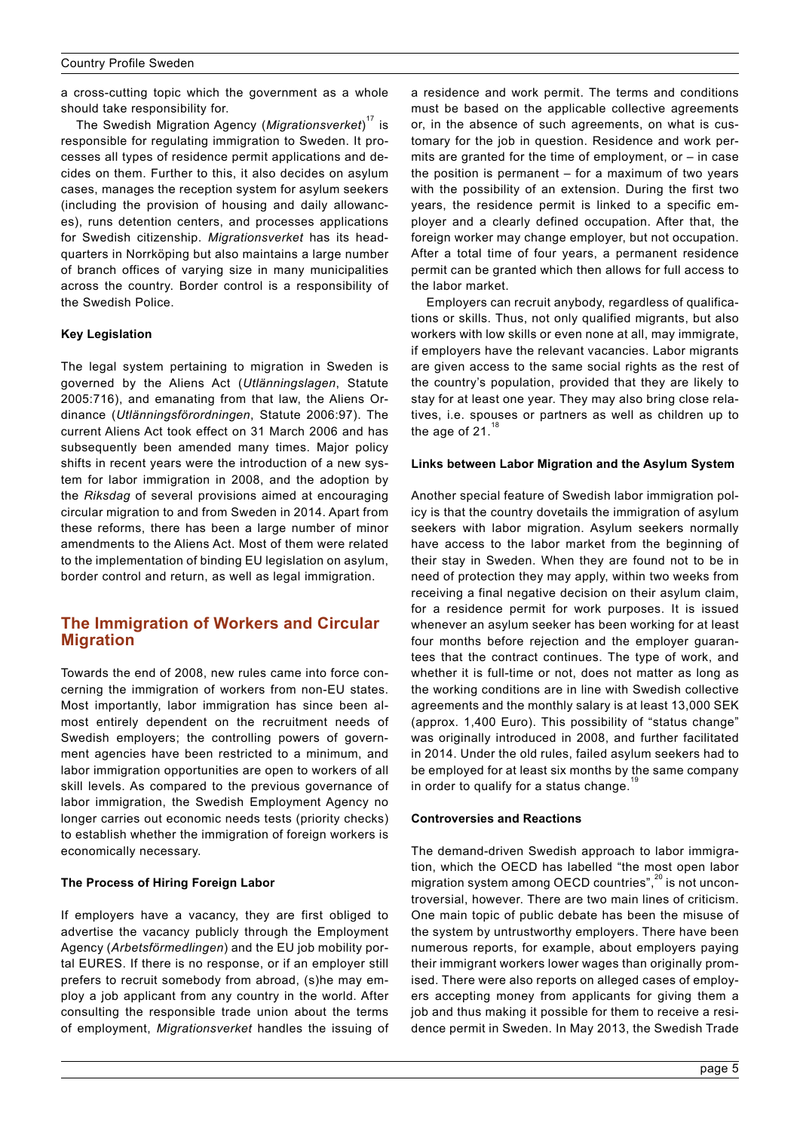<span id="page-4-0"></span>a cross-cutting topic which the government as a whole should take responsibility for.

The Swedish Migration Agency (*Migrationsverket*) 17 is responsible for regulating immigration to Sweden. It processes all types of residence permit applications and decides on them. Further to this, it also decides on asylum cases, manages the reception system for asylum seekers (including the provision of housing and daily allowances), runs detention centers, and processes applications for Swedish citizenship. *Migrationsverket* has its headquarters in Norrköping but also maintains a large number of branch offices of varying size in many municipalities across the country. Border control is a responsibility of the Swedish Police.

# **Key Legislation**

The legal system pertaining to migration in Sweden is governed by the Aliens Act (*Utlänningslagen*, Statute 2005:716), and emanating from that law, the Aliens Ordinance (*Utlänningsförordningen*, Statute 2006:97). The current Aliens Act took effect on 31 March 2006 and has subsequently been amended many times. Major policy shifts in recent years were the introduction of a new system for labor immigration in 2008, and the adoption by the *Riksdag* of several provisions aimed at encouraging circular migration to and from Sweden in 2014. Apart from these reforms, there has been a large number of minor amendments to the Aliens Act. Most of them were related to the implementation of binding EU legislation on asylum, border control and return, as well as legal immigration.

# **The Immigration of Workers and Circular Migration**

Towards the end of 2008, new rules came into force concerning the immigration of workers from non-EU states. Most importantly, labor immigration has since been almost entirely dependent on the recruitment needs of Swedish employers; the controlling powers of government agencies have been restricted to a minimum, and labor immigration opportunities are open to workers of all skill levels. As compared to the previous governance of labor immigration, the Swedish Employment Agency no longer carries out economic needs tests (priority checks) to establish whether the immigration of foreign workers is economically necessary.

### **The Process of Hiring Foreign Labor**

If employers have a vacancy, they are first obliged to advertise the vacancy publicly through the Employment Agency (*Arbetsförmedlingen*) and the EU job mobility portal EURES. If there is no response, or if an employer still prefers to recruit somebody from abroad, (s)he may employ a job applicant from any country in the world. After consulting the responsible trade union about the terms of employment, *Migrationsverket* handles the issuing of a residence and work permit. The terms and conditions must be based on the applicable collective agreements or, in the absence of such agreements, on what is customary for the job in question. Residence and work permits are granted for the time of employment, or – in case the position is permanent – for a maximum of two years with the possibility of an extension. During the first two years, the residence permit is linked to a specific employer and a clearly defined occupation. After that, the foreign worker may change employer, but not occupation. After a total time of four years, a permanent residence permit can be granted which then allows for full access to the labor market.

Employers can recruit anybody, regardless of qualifications or skills. Thus, not only qualified migrants, but also workers with low skills or even none at all, may immigrate, if employers have the relevant vacancies. Labor migrants are given access to the same social rights as the rest of the country's population, provided that they are likely to stay for at least one year. They may also bring close relatives, i.e. spouses or partners as well as children up to the age of  $21.1$ 

### **Links between Labor Migration and the Asylum System**

Another special feature of Swedish labor immigration policy is that the country dovetails the immigration of asylum seekers with labor migration. Asylum seekers normally have access to the labor market from the beginning of their stay in Sweden. When they are found not to be in need of protection they may apply, within two weeks from receiving a final negative decision on their asylum claim, for a residence permit for work purposes. It is issued whenever an asylum seeker has been working for at least four months before rejection and the employer guarantees that the contract continues. The type of work, and whether it is full-time or not, does not matter as long as the working conditions are in line with Swedish collective agreements and the monthly salary is at least 13,000 SEK (approx. 1,400 Euro). This possibility of "status change" was originally introduced in 2008, and further facilitated in 2014. Under the old rules, failed asylum seekers had to be employed for at least six months by the same company in order to qualify for a status change. $1$ 

### **Controversies and Reactions**

The demand-driven Swedish approach to labor immigration, which the OECD has labelled "the most open labor migration system among OECD countries",<sup>20</sup> is not uncontroversial, however. There are two main lines of criticism. One main topic of public debate has been the misuse of the system by untrustworthy employers. There have been numerous reports, for example, about employers paying their immigrant workers lower wages than originally promised. There were also reports on alleged cases of employers accepting money from applicants for giving them a job and thus making it possible for them to receive a residence permit in Sweden. In May 2013, the Swedish Trade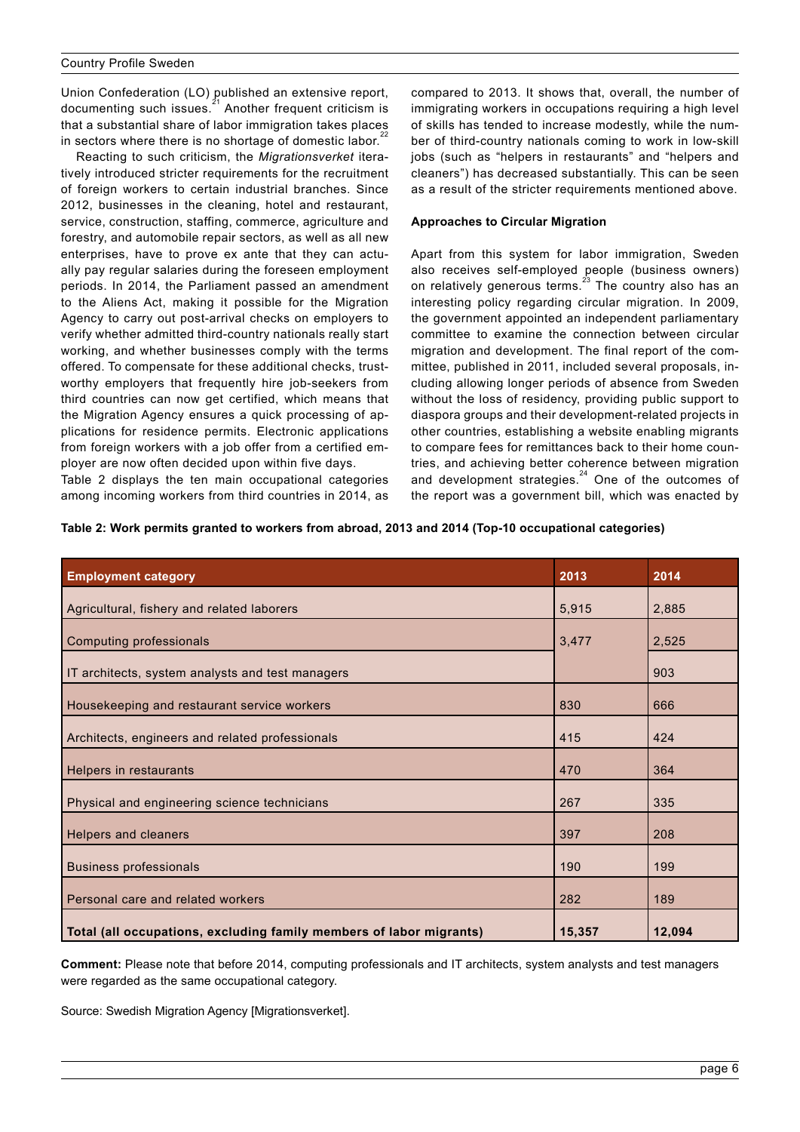Union Confederation (LO) published an extensive report, documenting such issues. $2^{21}$  Another frequent criticism is that a substantial share of labor immigration takes places in sectors where there is no shortage of domestic labor. $2^2$ 

Reacting to such criticism, the *Migrationsverket* iteratively introduced stricter requirements for the recruitment of foreign workers to certain industrial branches. Since 2012, businesses in the cleaning, hotel and restaurant, service, construction, staffing, commerce, agriculture and forestry, and automobile repair sectors, as well as all new enterprises, have to prove ex ante that they can actually pay regular salaries during the foreseen employment periods. In 2014, the Parliament passed an amendment to the Aliens Act, making it possible for the Migration Agency to carry out post-arrival checks on employers to verify whether admitted third-country nationals really start working, and whether businesses comply with the terms offered. To compensate for these additional checks, trustworthy employers that frequently hire job-seekers from third countries can now get certified, which means that the Migration Agency ensures a quick processing of applications for residence permits. Electronic applications from foreign workers with a job offer from a certified employer are now often decided upon within five days.

Table 2 displays the ten main occupational categories among incoming workers from third countries in 2014, as compared to 2013. It shows that, overall, the number of immigrating workers in occupations requiring a high level of skills has tended to increase modestly, while the number of third-country nationals coming to work in low-skill jobs (such as "helpers in restaurants" and "helpers and cleaners") has decreased substantially. This can be seen as a result of the stricter requirements mentioned above.

### **Approaches to Circular Migration**

Apart from this system for labor immigration, Sweden also receives self-employed people (business owners) on relatively generous terms.<sup>23</sup> The country also has an interesting policy regarding circular migration. In 2009, the government appointed an independent parliamentary committee to examine the connection between circular migration and development. The final report of the committee, published in 2011, included several proposals, including allowing longer periods of absence from Sweden without the loss of residency, providing public support to diaspora groups and their development-related projects in other countries, establishing a website enabling migrants to compare fees for remittances back to their home countries, and achieving better coherence between migration and development strategies. $24$  One of the outcomes of the report was a government bill, which was enacted by

| Table 2: Work permits granted to workers from abroad, 2013 and 2014 (Top-10 occupational categories) |  |  |
|------------------------------------------------------------------------------------------------------|--|--|
|------------------------------------------------------------------------------------------------------|--|--|

| <b>Employment category</b>                                          | 2013   | 2014   |
|---------------------------------------------------------------------|--------|--------|
| Agricultural, fishery and related laborers                          | 5,915  | 2,885  |
| <b>Computing professionals</b>                                      | 3,477  | 2,525  |
| IT architects, system analysts and test managers                    |        | 903    |
| Housekeeping and restaurant service workers                         | 830    | 666    |
| Architects, engineers and related professionals                     | 415    | 424    |
| Helpers in restaurants                                              | 470    | 364    |
| Physical and engineering science technicians                        | 267    | 335    |
| Helpers and cleaners                                                | 397    | 208    |
| <b>Business professionals</b>                                       | 190    | 199    |
| Personal care and related workers                                   | 282    | 189    |
| Total (all occupations, excluding family members of labor migrants) | 15,357 | 12,094 |

**Comment:** Please note that before 2014, computing professionals and IT architects, system analysts and test managers were regarded as the same occupational category.

Source: Swedish Migration Agency [\[Migrationsverket\].](http://www.migrationsverket.se/download/18.39a9cd9514a346077211b06/1422893141261/Beviljade%2Barbetstillst%25C3%25A5nd%2B2014%2B-%2BWork%2Bpermits%2Bgranted%2B2014.pdf)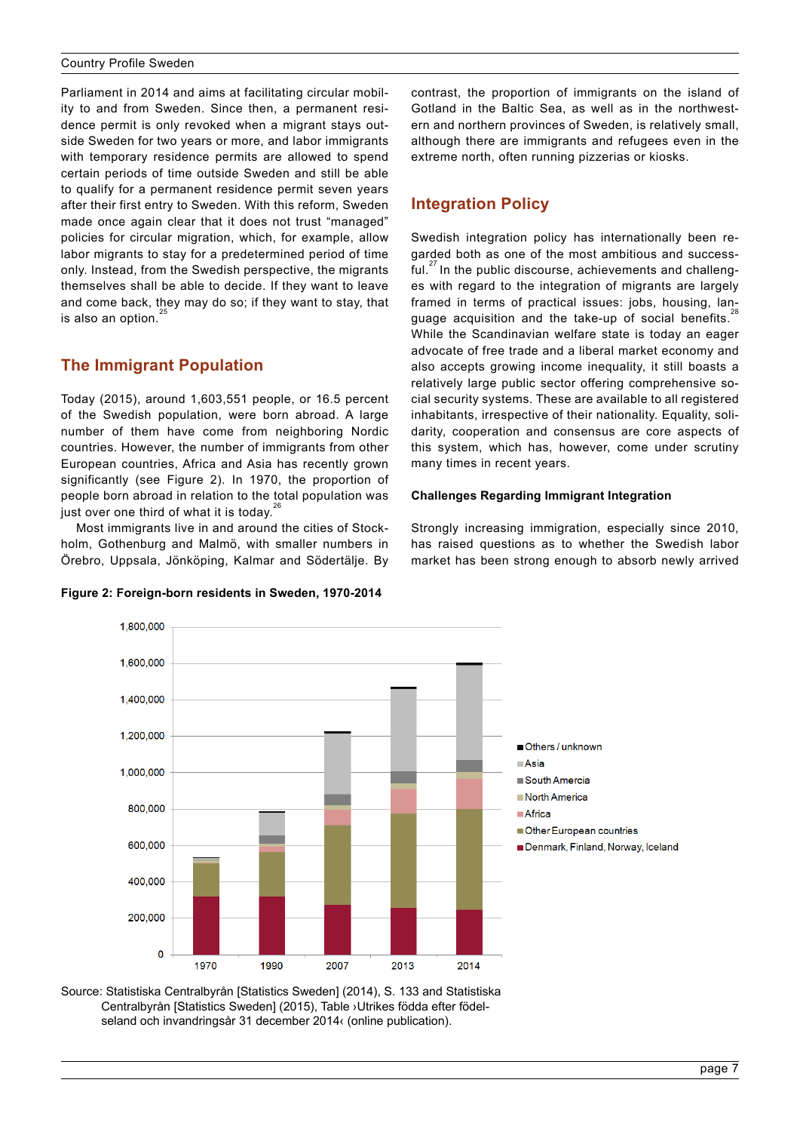<span id="page-6-0"></span>Parliament in 2014 and aims at facilitating circular mobility to and from Sweden. Since then, a permanent residence permit is only revoked when a migrant stays outside Sweden for two years or more, and labor immigrants with temporary residence permits are allowed to spend certain periods of time outside Sweden and still be able to qualify for a permanent residence permit seven years after their first entry to Sweden. With this reform, Sweden made once again clear that it does not trust "managed" policies for circular migration, which, for example, allow labor migrants to stay for a predetermined period of time only. Instead, from the Swedish perspective, the migrants themselves shall be able to decide. If they want to leave and come back, they may do so; if they want to stay, that is also an option. $\frac{3}{5}$ 

# **The Immigrant Population**

Today (2015), around 1,603,551 people, or 16.5 percent of the Swedish population, were born abroad. A large number of them have come from neighboring Nordic countries. However, the number of immigrants from other European countries, Africa and Asia has recently grown significantly (see Figure 2). In 1970, the proportion of people born abroad in relation to the total population was just over one third of what it is today.

Most immigrants live in and around the cities of Stockholm, Gothenburg and Malmö, with smaller numbers in Örebro, Uppsala, Jönköping, Kalmar and Södertälje. By

### **Figure 2: Foreign-born residents in Sweden, 1970-2014**

contrast, the proportion of immigrants on the island of Gotland in the Baltic Sea, as well as in the northwestern and northern provinces of Sweden, is relatively small, although there are immigrants and refugees even in the extreme north, often running pizzerias or kiosks.

# **Integration Policy**

Swedish integration policy has internationally been regarded both as one of the most ambitious and successful.<sup>27</sup> In the public discourse, achievements and challenges with regard to the integration of migrants are largely framed in terms of practical issues: jobs, housing, language acquisition and the take-up of social benefits.<sup>2</sup> While the Scandinavian welfare state is today an eager advocate of free trade and a liberal market economy and also accepts growing income inequality, it still boasts a relatively large public sector offering comprehensive social security systems. These are available to all registered inhabitants, irrespective of their nationality. Equality, solidarity, cooperation and consensus are core aspects of this system, which has, however, come under scrutiny many times in recent years.

# **Challenges Regarding Immigrant Integration**

Strongly increasing immigration, especially since 2010, has raised questions as to whether the Swedish labor market has been strong enough to absorb newly arrived



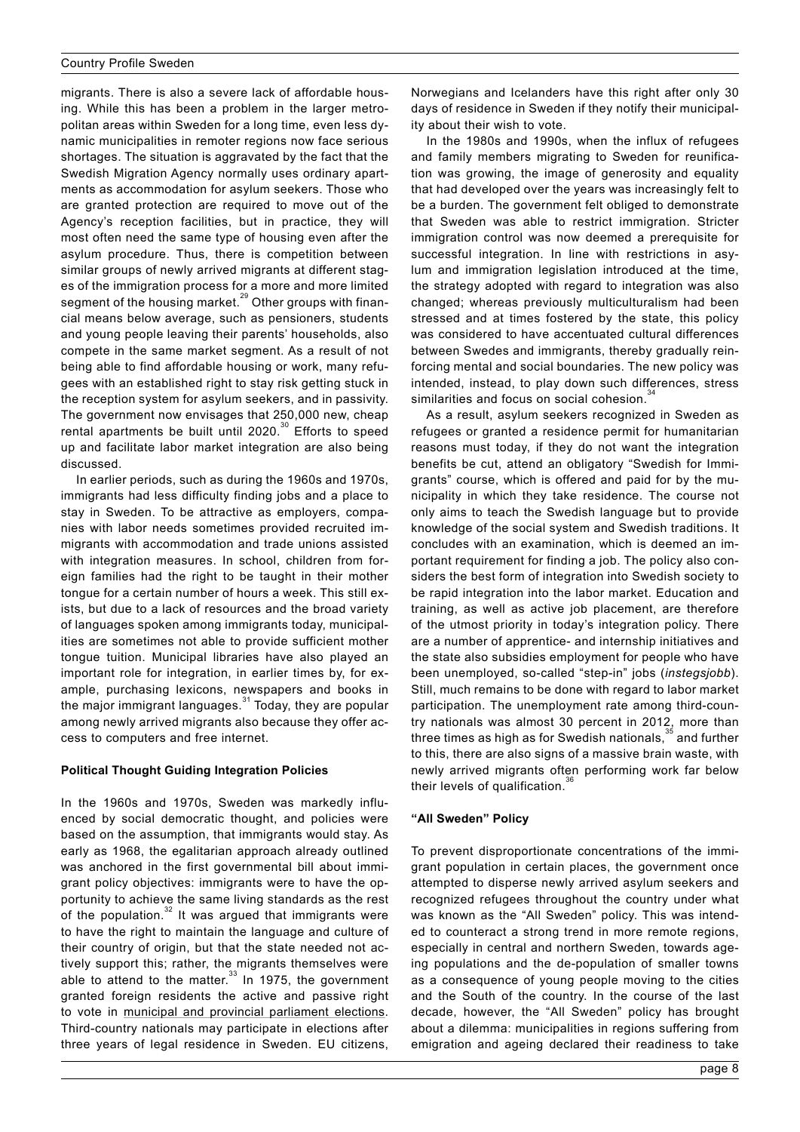migrants. There is also a severe lack of affordable housing. While this has been a problem in the larger metropolitan areas within Sweden for a long time, even less dynamic municipalities in remoter regions now face serious shortages. The situation is aggravated by the fact that the Swedish Migration Agency normally uses ordinary apartments as accommodation for asylum seekers. Those who are granted protection are required to move out of the Agency's reception facilities, but in practice, they will most often need the same type of housing even after the asylum procedure. Thus, there is competition between similar groups of newly arrived migrants at different stages of the immigration process for a more and more limited segment of the housing market.<sup>29</sup> Other groups with financial means below average, such as pensioners, students and young people leaving their parents' households, also compete in the same market segment. As a result of not being able to find affordable housing or work, many refugees with an established right to stay risk getting stuck in the reception system for asylum seekers, and in passivity. The government now envisages that 250,000 new, cheap rental apartments be built until 2020.<sup>30</sup> Efforts to speed up and facilitate labor market integration are also being discussed.

In earlier periods, such as during the 1960s and 1970s, immigrants had less difficulty finding jobs and a place to stay in Sweden. To be attractive as employers, companies with labor needs sometimes provided recruited immigrants with accommodation and trade unions assisted with integration measures. In school, children from foreign families had the right to be taught in their mother tongue for a certain number of hours a week. This still exists, but due to a lack of resources and the broad variety of languages spoken among immigrants today, municipalities are sometimes not able to provide sufficient mother tongue tuition. Municipal libraries have also played an important role for integration, in earlier times by, for example, purchasing lexicons, newspapers and books in the major immigrant languages. $31$  Today, they are popular among newly arrived migrants also because they offer access to computers and free internet.

#### **Political Thought Guiding Integration Policies**

In the 1960s and 1970s, Sweden was markedly influenced by social democratic thought, and policies were based on the assumption, that immigrants would stay. As early as 1968, the egalitarian approach already outlined was anchored in the first governmental bill about immigrant policy objectives: immigrants were to have the opportunity to achieve the same living standards as the rest of the population.32 It was argued that immigrants were to have the right to maintain the language and culture of their country of origin, but that the state needed not actively support this; rather, the migrants themselves were able to attend to the matter.<sup>33</sup> In 1975, the government granted foreign residents the active and passive right to vote in [municipal and provincial parliament elections.](http://www.bpb.de/gesellschaft/migration/kurzdossiers/184679/voting-rights-and-political-participation) Third-country nationals may participate in elections after three years of legal residence in Sweden. EU citizens,

Norwegians and Icelanders have this right after only 30 days of residence in Sweden if they notify their municipality about their wish to vote.

In the 1980s and 1990s, when the influx of refugees and family members migrating to Sweden for reunification was growing, the image of generosity and equality that had developed over the years was increasingly felt to be a burden. The government felt obliged to demonstrate that Sweden was able to restrict immigration. Stricter immigration control was now deemed a prerequisite for successful integration. In line with restrictions in asylum and immigration legislation introduced at the time, the strategy adopted with regard to integration was also changed; whereas previously multiculturalism had been stressed and at times fostered by the state, this policy was considered to have accentuated cultural differences between Swedes and immigrants, thereby gradually reinforcing mental and social boundaries. The new policy was intended, instead, to play down such differences, stress similarities and focus on social cohesion.

As a result, asylum seekers recognized in Sweden as refugees or granted a residence permit for humanitarian reasons must today, if they do not want the integration benefits be cut, attend an obligatory "Swedish for Immigrants" course, which is offered and paid for by the municipality in which they take residence. The course not only aims to teach the Swedish language but to provide knowledge of the social system and Swedish traditions. It concludes with an examination, which is deemed an important requirement for finding a job. The policy also considers the best form of integration into Swedish society to be rapid integration into the labor market. Education and training, as well as active job placement, are therefore of the utmost priority in today's integration policy. There are a number of apprentice- and internship initiatives and the state also subsidies employment for people who have been unemployed, so-called "step-in" jobs (*instegsjobb*). Still, much remains to be done with regard to labor market participation. The unemployment rate among third-country nationals was almost 30 percent in 2012, more than three times as high as for Swedish nationals, $35$  and further to this, there are also signs of a massive brain waste, with newly arrived migrants often performing work far below their levels of qualification.<sup>3</sup>

### **"All Sweden" Policy**

To prevent disproportionate concentrations of the immigrant population in certain places, the government once attempted to disperse newly arrived asylum seekers and recognized refugees throughout the country under what was known as the "All Sweden" policy. This was intended to counteract a strong trend in more remote regions, especially in central and northern Sweden, towards ageing populations and the de-population of smaller towns as a consequence of young people moving to the cities and the South of the country. In the course of the last decade, however, the "All Sweden" policy has brought about a dilemma: municipalities in regions suffering from emigration and ageing declared their readiness to take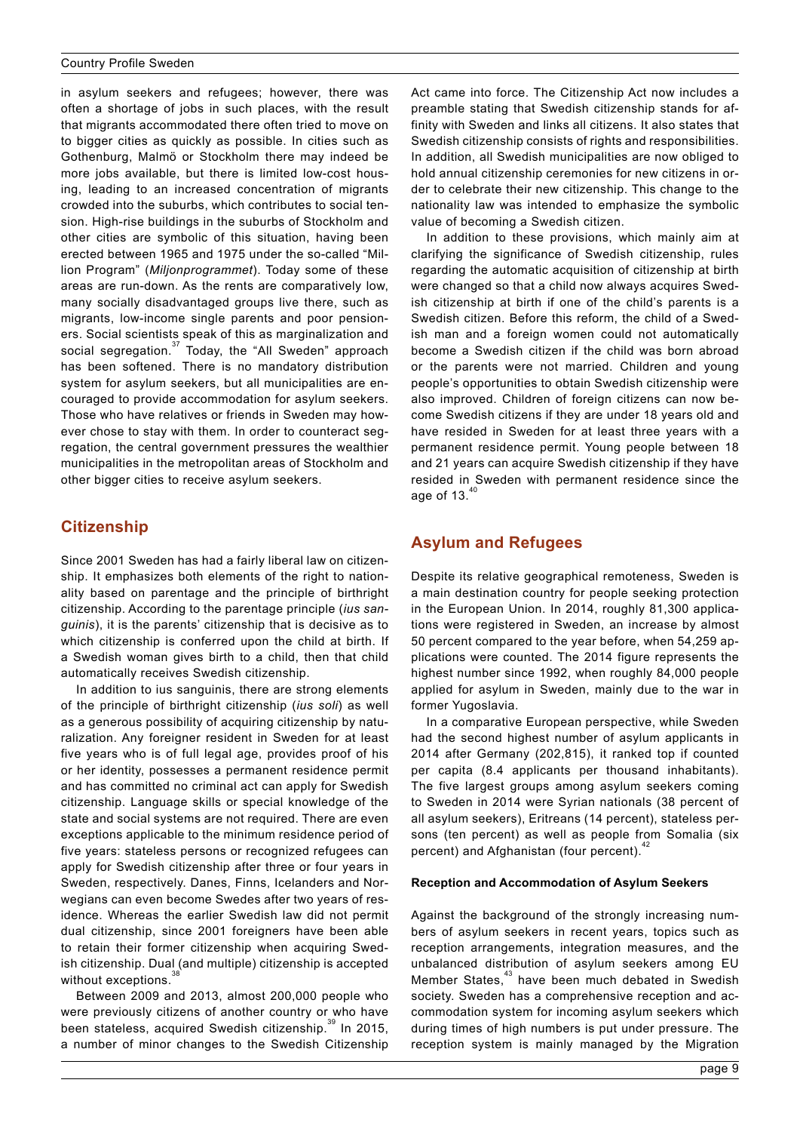<span id="page-8-0"></span>in asylum seekers and refugees; however, there was often a shortage of jobs in such places, with the result that migrants accommodated there often tried to move on to bigger cities as quickly as possible. In cities such as Gothenburg, Malmö or Stockholm there may indeed be more jobs available, but there is limited low-cost housing, leading to an increased concentration of migrants crowded into the suburbs, which contributes to social tension. High-rise buildings in the suburbs of Stockholm and other cities are symbolic of this situation, having been erected between 1965 and 1975 under the so-called "Million Program" (*Miljonprogrammet*). Today some of these areas are run-down. As the rents are comparatively low, many socially disadvantaged groups live there, such as migrants, low-income single parents and poor pensioners. Social scientists speak of this as marginalization and social segregation.<sup>37</sup> Today, the "All Sweden" approach has been softened. There is no mandatory distribution system for asylum seekers, but all municipalities are encouraged to provide accommodation for asylum seekers. Those who have relatives or friends in Sweden may however chose to stay with them. In order to counteract segregation, the central government pressures the wealthier municipalities in the metropolitan areas of Stockholm and other bigger cities to receive asylum seekers.

# **Citizenship**

Since 2001 Sweden has had a fairly liberal law on citizenship. It emphasizes both elements of the right to nationality based on parentage and the principle of birthright citizenship. According to the parentage principle (*ius sanguinis*), it is the parents' citizenship that is decisive as to which citizenship is conferred upon the child at birth. If a Swedish woman gives birth to a child, then that child automatically receives Swedish citizenship.

In addition to ius sanguinis, there are strong elements of the principle of birthright citizenship (*ius soli*) as well as a generous possibility of acquiring citizenship by naturalization. Any foreigner resident in Sweden for at least five years who is of full legal age, provides proof of his or her identity, possesses a permanent residence permit and has committed no criminal act can apply for Swedish citizenship. Language skills or special knowledge of the state and social systems are not required. There are even exceptions applicable to the minimum residence period of five years: stateless persons or recognized refugees can apply for Swedish citizenship after three or four years in Sweden, respectively. Danes, Finns, Icelanders and Norwegians can even become Swedes after two years of residence. Whereas the earlier Swedish law did not permit dual citizenship, since 2001 foreigners have been able to retain their former citizenship when acquiring Swedish citizenship. Dual (and multiple) citizenship is accepted without exceptions.

Between 2009 and 2013, almost 200,000 people who were previously citizens of another country or who have been stateless, acquired Swedish citizenship.<sup>39</sup> In 2015, a number of minor changes to the Swedish Citizenship Act came into force. The Citizenship Act now includes a preamble stating that Swedish citizenship stands for affinity with Sweden and links all citizens. It also states that Swedish citizenship consists of rights and responsibilities. In addition, all Swedish municipalities are now obliged to hold annual citizenship ceremonies for new citizens in order to celebrate their new citizenship. This change to the nationality law was intended to emphasize the symbolic value of becoming a Swedish citizen.

In addition to these provisions, which mainly aim at clarifying the significance of Swedish citizenship, rules regarding the automatic acquisition of citizenship at birth were changed so that a child now always acquires Swedish citizenship at birth if one of the child's parents is a Swedish citizen. Before this reform, the child of a Swedish man and a foreign women could not automatically become a Swedish citizen if the child was born abroad or the parents were not married. Children and young people's opportunities to obtain Swedish citizenship were also improved. Children of foreign citizens can now become Swedish citizens if they are under 18 years old and have resided in Sweden for at least three years with a permanent residence permit. Young people between 18 and 21 years can acquire Swedish citizenship if they have resided in Sweden with permanent residence since the age of 13. $<sup>4</sup>$ </sup>

# **Asylum and Refugees**

Despite its relative geographical remoteness, Sweden is a main destination country for people seeking protection in the European Union. In 2014, roughly 81,300 applications were registered in Sweden, an increase by almost 50 percent compared to the year before, when 54,259 applications were counted. The 2014 figure represents the highest number since 1992, when roughly 84,000 people applied for asylum in Sweden, mainly due to the war in former Yugoslavia.

In a comparative European perspective, while Sweden had the second highest number of asylum applicants in 2014 after Germany (202,815), it ranked top if counted per capita (8.4 applicants per thousand inhabitants). The five largest groups among asylum seekers coming to Sweden in 2014 were Syrian nationals (38 percent of all asylum seekers), Eritreans (14 percent), stateless persons (ten percent) as well as people from Somalia (six percent) and Afghanistan (four percent). $42$ 

### **Reception and Accommodation of Asylum Seekers**

Against the background of the strongly increasing numbers of asylum seekers in recent years, topics such as reception arrangements, integration measures, and the unbalanced distribution of asylum seekers among EU Member States,<sup>43</sup> have been much debated in Swedish society. Sweden has a comprehensive reception and accommodation system for incoming asylum seekers which during times of high numbers is put under pressure. The reception system is mainly managed by the Migration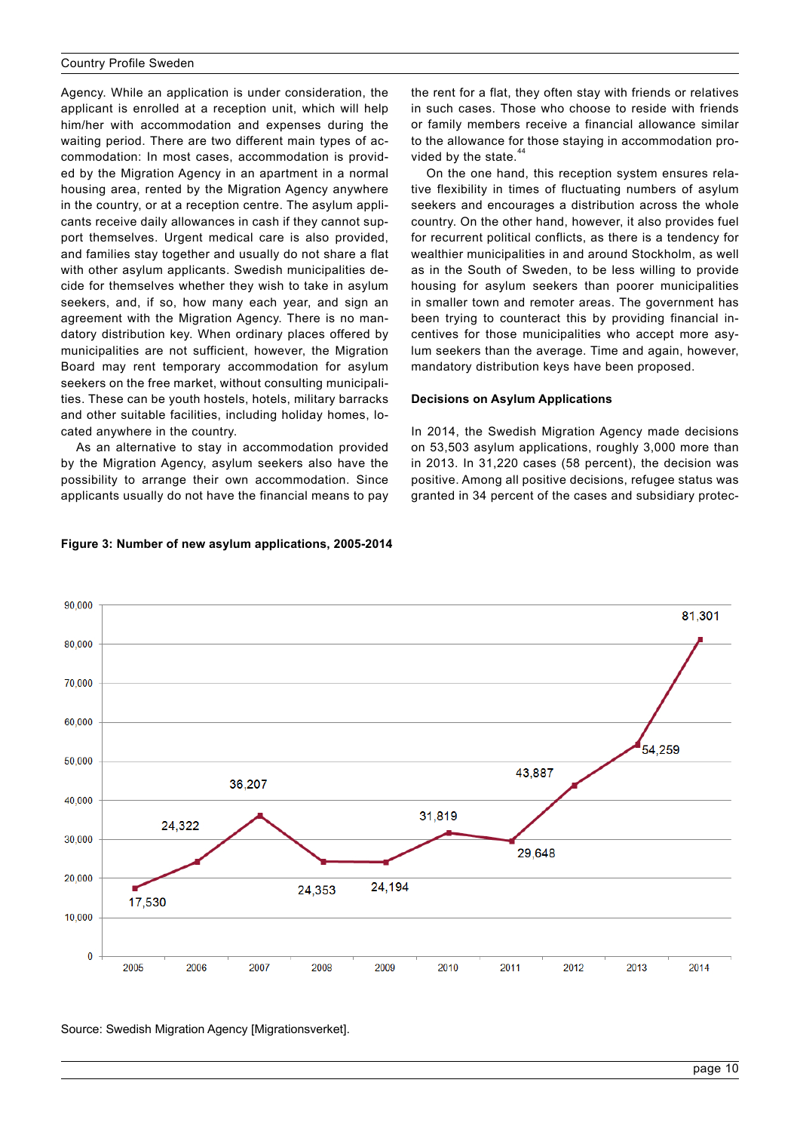Agency. While an application is under consideration, the applicant is enrolled at a reception unit, which will help him/her with accommodation and expenses during the waiting period. There are two different main types of accommodation: In most cases, accommodation is provided by the Migration Agency in an apartment in a normal housing area, rented by the Migration Agency anywhere in the country, or at a reception centre. The asylum applicants receive daily allowances in cash if they cannot support themselves. Urgent medical care is also provided, and families stay together and usually do not share a flat with other asylum applicants. Swedish municipalities decide for themselves whether they wish to take in asylum seekers, and, if so, how many each year, and sign an agreement with the Migration Agency. There is no mandatory distribution key. When ordinary places offered by municipalities are not sufficient, however, the Migration Board may rent temporary accommodation for asylum seekers on the free market, without consulting municipalities. These can be youth hostels, hotels, military barracks and other suitable facilities, including holiday homes, located anywhere in the country.

As an alternative to stay in accommodation provided by the Migration Agency, asylum seekers also have the possibility to arrange their own accommodation. Since applicants usually do not have the financial means to pay

### **Figure 3: Number of new asylum applications, 2005-2014**

the rent for a flat, they often stay with friends or relatives in such cases. Those who choose to reside with friends or family members receive a financial allowance similar to the allowance for those staying in accommodation provided by the state.<sup>4</sup>

On the one hand, this reception system ensures relative flexibility in times of fluctuating numbers of asylum seekers and encourages a distribution across the whole country. On the other hand, however, it also provides fuel for recurrent political conflicts, as there is a tendency for wealthier municipalities in and around Stockholm, as well as in the South of Sweden, to be less willing to provide housing for asylum seekers than poorer municipalities in smaller town and remoter areas. The government has been trying to counteract this by providing financial incentives for those municipalities who accept more asylum seekers than the average. Time and again, however, mandatory distribution keys have been proposed.

#### **Decisions on Asylum Applications**

In 2014, the Swedish Migration Agency made decisions on 53,503 asylum applications, roughly 3,000 more than in 2013. In 31,220 cases (58 percent), the decision was positive. Among all positive decisions, refugee status was granted in 34 percent of the cases and subsidiary protec-



Source[: Swedish Migration Agency \[Migrationsverket\].](http://www.migrationsverket.se/download/18.36084ac214622cf6599137e/1426062974537/Tab%2B2%2B-%2BApplication%2Bfor%2Basylum%2Breceived%2B1984-2014.pdf)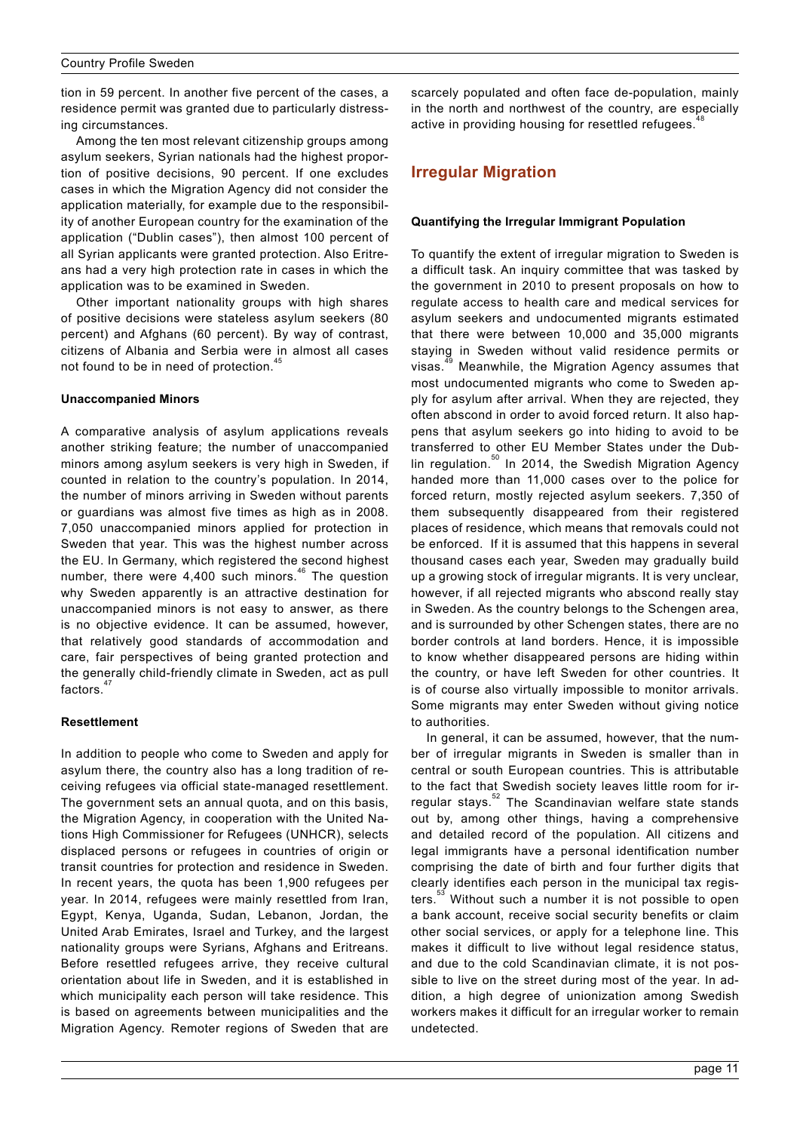<span id="page-10-0"></span>tion in 59 percent. In another five percent of the cases, a residence permit was granted due to particularly distressing circumstances.

Among the ten most relevant citizenship groups among asylum seekers, Syrian nationals had the highest proportion of positive decisions, 90 percent. If one excludes cases in which the Migration Agency did not consider the application materially, for example due to the responsibility of another European country for the examination of the application ("Dublin cases"), then almost 100 percent of all Syrian applicants were granted protection. Also Eritreans had a very high protection rate in cases in which the application was to be examined in Sweden.

Other important nationality groups with high shares of positive decisions were stateless asylum seekers (80 percent) and Afghans (60 percent). By way of contrast, citizens of Albania and Serbia were in almost all cases not found to be in need of protection.<sup>4</sup>

### **Unaccompanied Minors**

A comparative analysis of asylum applications reveals another striking feature; the number of unaccompanied minors among asylum seekers is very high in Sweden, if counted in relation to the country's population. In 2014, the number of minors arriving in Sweden without parents or guardians was almost five times as high as in 2008. 7,050 unaccompanied minors applied for protection in Sweden that year. This was the highest number across the EU. In Germany, which registered the second highest number, there were  $4,400$  such minors.<sup>46</sup> The question why Sweden apparently is an attractive destination for unaccompanied minors is not easy to answer, as there is no objective evidence. It can be assumed, however, that relatively good standards of accommodation and care, fair perspectives of being granted protection and the generally child-friendly climate in Sweden, act as pull factors.<sup>4</sup>

#### **Resettlement**

In addition to people who come to Sweden and apply for asylum there, the country also has a long tradition of receiving refugees via official state-managed resettlement. The government sets an annual quota, and on this basis, the Migration Agency, in cooperation with the United Nations High Commissioner for Refugees (UNHCR), selects displaced persons or refugees in countries of origin or transit countries for protection and residence in Sweden. In recent years, the quota has been 1,900 refugees per year. In 2014, refugees were mainly resettled from Iran, Egypt, Kenya, Uganda, Sudan, Lebanon, Jordan, the United Arab Emirates, Israel and Turkey, and the largest nationality groups were Syrians, Afghans and Eritreans. Before resettled refugees arrive, they receive cultural orientation about life in Sweden, and it is established in which municipality each person will take residence. This is based on agreements between municipalities and the Migration Agency. Remoter regions of Sweden that are

scarcely populated and often face de-population, mainly in the north and northwest of the country, are especially active in providing housing for resettled refugees.

# **Irregular Migration**

#### **Quantifying the Irregular Immigrant Population**

To quantify the extent of irregular migration to Sweden is a difficult task. An inquiry committee that was tasked by the government in 2010 to present proposals on how to regulate access to health care and medical services for asylum seekers and undocumented migrants estimated that there were between 10,000 and 35,000 migrants staying in Sweden without valid residence permits or visas.<sup>49</sup> Meanwhile, the Migration Agency assumes that most undocumented migrants who come to Sweden apply for asylum after arrival. When they are rejected, they often abscond in order to avoid forced return. It also happens that asylum seekers go into hiding to avoid to be transferred to other EU Member States under the Dublin regulation. $50$  In 2014, the Swedish Migration Agency handed more than 11,000 cases over to the police for forced return, mostly rejected asylum seekers. 7,350 of them subsequently disappeared from their registered places of residence, which means that removals could not be enforced. If it is assumed that this happens in several thousand cases each year, Sweden may gradually build up a growing stock of irregular migrants. It is very unclear, however, if all rejected migrants who abscond really stay in Sweden. As the country belongs to the Schengen area, and is surrounded by other Schengen states, there are no border controls at land borders. Hence, it is impossible to know whether disappeared persons are hiding within the country, or have left Sweden for other countries. It is of course also virtually impossible to monitor arrivals. Some migrants may enter Sweden without giving notice to authorities.

In general, it can be assumed, however, that the number of irregular migrants in Sweden is smaller than in central or south European countries. This is attributable to the fact that Swedish society leaves little room for irregular stays.<sup>52</sup> The Scandinavian welfare state stands out by, among other things, having a comprehensive and detailed record of the population. All citizens and legal immigrants have a personal identification number comprising the date of birth and four further digits that clearly identifies each person in the municipal tax registers.<sup>33</sup> Without such a number it is not possible to open a bank account, receive social security benefits or claim other social services, or apply for a telephone line. This makes it difficult to live without legal residence status, and due to the cold Scandinavian climate, it is not possible to live on the street during most of the year. In addition, a high degree of unionization among Swedish workers makes it difficult for an irregular worker to remain undetected.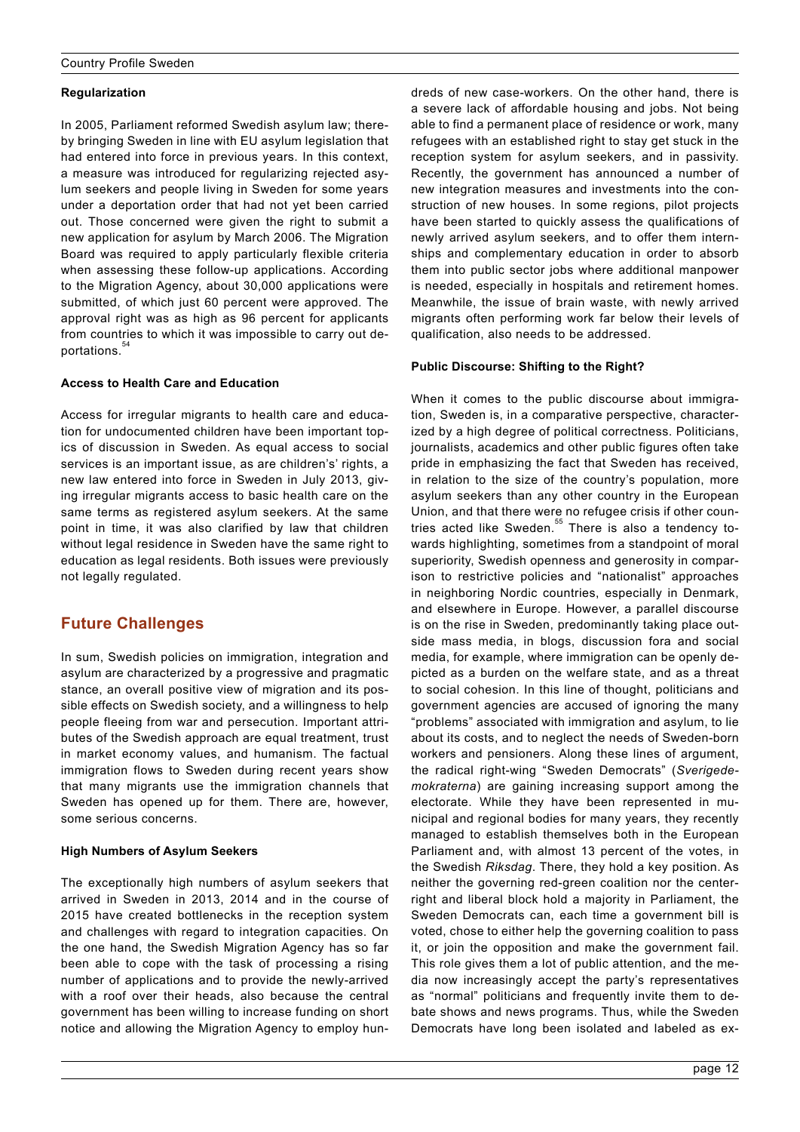# <span id="page-11-0"></span>**Regularization**

In 2005, Parliament reformed Swedish asylum law; thereby bringing Sweden in line with EU asylum legislation that had entered into force in previous years. In this context, a measure was introduced for regularizing rejected asylum seekers and people living in Sweden for some years under a deportation order that had not yet been carried out. Those concerned were given the right to submit a new application for asylum by March 2006. The Migration Board was required to apply particularly flexible criteria when assessing these follow-up applications. According to the Migration Agency, about 30,000 applications were submitted, of which just 60 percent were approved. The approval right was as high as 96 percent for applicants from countries to which it was impossible to carry out deportations.<sup>34</sup>

# **Access to Health Care and Education**

Access for irregular migrants to health care and education for undocumented children have been important topics of discussion in Sweden. As equal access to social services is an important issue, as are children's' rights, a new law entered into force in Sweden in July 2013, giving irregular migrants access to basic health care on the same terms as registered asylum seekers. At the same point in time, it was also clarified by law that children without legal residence in Sweden have the same right to education as legal residents. Both issues were previously not legally regulated.

# **Future Challenges**

In sum, Swedish policies on immigration, integration and asylum are characterized by a progressive and pragmatic stance, an overall positive view of migration and its possible effects on Swedish society, and a willingness to help people fleeing from war and persecution. Important attributes of the Swedish approach are equal treatment, trust in market economy values, and humanism. The factual immigration flows to Sweden during recent years show that many migrants use the immigration channels that Sweden has opened up for them. There are, however, some serious concerns.

# **High Numbers of Asylum Seekers**

The exceptionally high numbers of asylum seekers that arrived in Sweden in 2013, 2014 and in the course of 2015 have created bottlenecks in the reception system and challenges with regard to integration capacities. On the one hand, the Swedish Migration Agency has so far been able to cope with the task of processing a rising number of applications and to provide the newly-arrived with a roof over their heads, also because the central government has been willing to increase funding on short notice and allowing the Migration Agency to employ hundreds of new case-workers. On the other hand, there is a severe lack of affordable housing and jobs. Not being able to find a permanent place of residence or work, many refugees with an established right to stay get stuck in the reception system for asylum seekers, and in passivity. Recently, the government has announced a number of new integration measures and investments into the construction of new houses. In some regions, pilot projects have been started to quickly assess the qualifications of newly arrived asylum seekers, and to offer them internships and complementary education in order to absorb them into public sector jobs where additional manpower is needed, especially in hospitals and retirement homes. Meanwhile, the issue of brain waste, with newly arrived migrants often performing work far below their levels of qualification, also needs to be addressed.

# **Public Discourse: Shifting to the Right?**

When it comes to the public discourse about immigration, Sweden is, in a comparative perspective, characterized by a high degree of political correctness. Politicians, journalists, academics and other public figures often take pride in emphasizing the fact that Sweden has received, in relation to the size of the country's population, more asylum seekers than any other country in the European Union, and that there were no refugee crisis if other countries acted like Sweden.<sup>55</sup> There is also a tendency towards highlighting, sometimes from a standpoint of moral superiority, Swedish openness and generosity in comparison to restrictive policies and "nationalist" approaches in neighboring Nordic countries, especially in Denmark, and elsewhere in Europe. However, a parallel discourse is on the rise in Sweden, predominantly taking place outside mass media, in blogs, discussion fora and social media, for example, where immigration can be openly depicted as a burden on the welfare state, and as a threat to social cohesion. In this line of thought, politicians and government agencies are accused of ignoring the many "problems" associated with immigration and asylum, to lie about its costs, and to neglect the needs of Sweden-born workers and pensioners. Along these lines of argument, the radical right-wing "Sweden Democrats" (*Sverigedemokraterna*) are gaining increasing support among the electorate. While they have been represented in municipal and regional bodies for many years, they recently managed to establish themselves both in the European Parliament and, with almost 13 percent of the votes, in the Swedish *Riksdag*. There, they hold a key position. As neither the governing red-green coalition nor the centerright and liberal block hold a majority in Parliament, the Sweden Democrats can, each time a government bill is voted, chose to either help the governing coalition to pass it, or join the opposition and make the government fail. This role gives them a lot of public attention, and the media now increasingly accept the party's representatives as "normal" politicians and frequently invite them to debate shows and news programs. Thus, while the Sweden Democrats have long been isolated and labeled as ex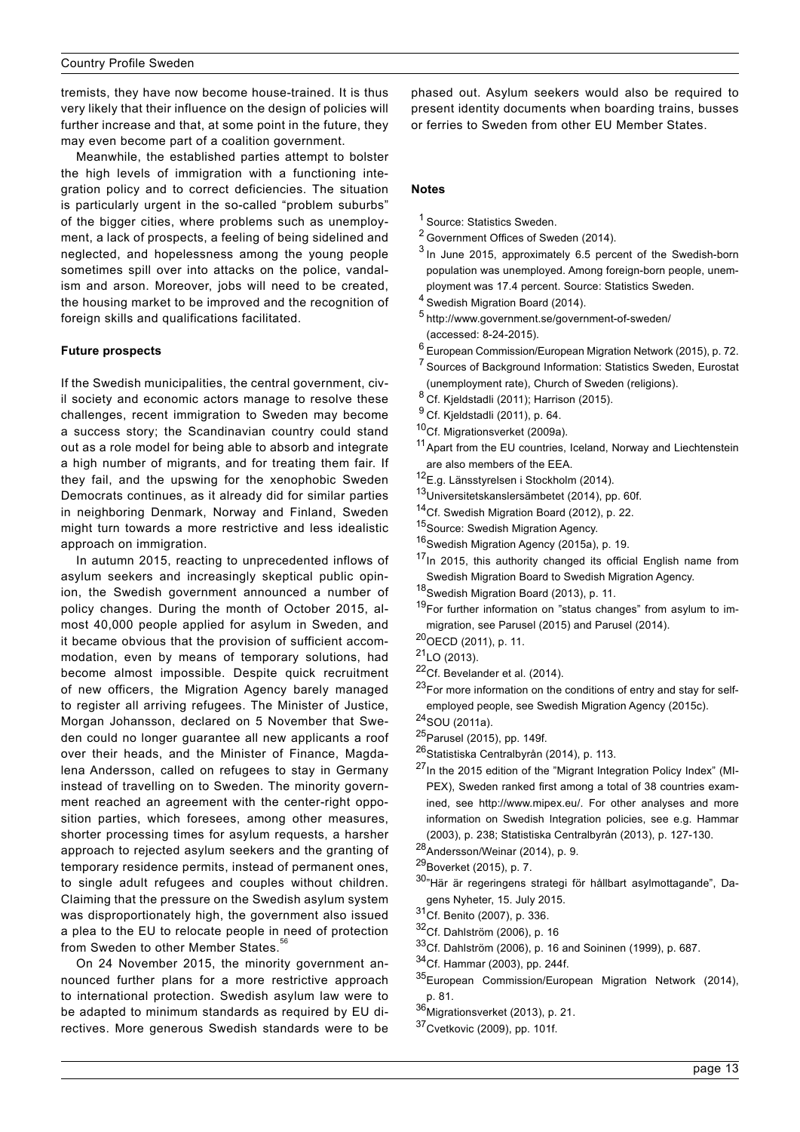tremists, they have now become house-trained. It is thus very likely that their influence on the design of policies will further increase and that, at some point in the future, they may even become part of a coalition government.

Meanwhile, the established parties attempt to bolster the high levels of immigration with a functioning integration policy and to correct deficiencies. The situation is particularly urgent in the so-called "problem suburbs" of the bigger cities, where problems such as unemployment, a lack of prospects, a feeling of being sidelined and neglected, and hopelessness among the young people sometimes spill over into attacks on the police, vandalism and arson. Moreover, jobs will need to be created, the housing market to be improved and the recognition of foreign skills and qualifications facilitated.

### **Future prospects**

If the Swedish municipalities, the central government, civil society and economic actors manage to resolve these challenges, recent immigration to Sweden may become a success story; the Scandinavian country could stand out as a role model for being able to absorb and integrate a high number of migrants, and for treating them fair. If they fail, and the upswing for the xenophobic Sweden Democrats continues, as it already did for similar parties in neighboring Denmark, Norway and Finland, Sweden might turn towards a more restrictive and less idealistic approach on immigration.

In autumn 2015, reacting to unprecedented inflows of asylum seekers and increasingly skeptical public opinion, the Swedish government announced a number of policy changes. During the month of October 2015, almost 40,000 people applied for asylum in Sweden, and it became obvious that the provision of sufficient accommodation, even by means of temporary solutions, had become almost impossible. Despite quick recruitment of new officers, the Migration Agency barely managed to register all arriving refugees. The Minister of Justice, Morgan Johansson, declared on 5 November that Sweden could no longer guarantee all new applicants a roof over their heads, and the Minister of Finance, Magdalena Andersson, called on refugees to stay in Germany instead of travelling on to Sweden. The minority government reached an agreement with the center-right opposition parties, which foresees, among other measures, shorter processing times for asylum requests, a harsher approach to rejected asylum seekers and the granting of temporary residence permits, instead of permanent ones, to single adult refugees and couples without children. Claiming that the pressure on the Swedish asylum system was disproportionately high, the government also issued a plea to the EU to relocate people in need of protection from Sweden to other Member States.<sup>5</sup>

On 24 November 2015, the minority government announced further plans for a more restrictive approach to international protection. Swedish asylum law were to be adapted to minimum standards as required by EU directives. More generous Swedish standards were to be phased out. Asylum seekers would also be required to present identity documents when boarding trains, busses or ferries to Sweden from other EU Member States.

### **Notes**

- <sup>1</sup> [Source: Statistics Sweden](http://www.scb.se/en_/Finding-statistics/Statistics-by-subject-area/Population/Population-composition/Population-statistics/Aktuell-Pong/25795/Yearly-statistics--The-whole-country/26040/).
- <sup>2</sup> [Government Offices of Sweden \(2014\).](http://www.regeringen.se/contentassets/aa05e9db0b404d5caed8798a233484c4/migration-policy)
- <sup>3</sup> In June 2015, approximately 6.5 percent of the Swedish-born population was unemployed. Among foreign-born people, unemployment was 17.4 percent. Source: [Statistics Sweden.](http://www.scb.se/Statistik/AM/AM0401/2015M06G/AKU201506_1574.XLS)
- <sup>4</sup> Swedish Migration Board (2014).
- <sup>5</sup> <http://www.government.se/government-of-sweden/> (accessed: 8-24-2015).
- $6$  European Commission/European Migration Network (2015), p. 72.
- <sup>7</sup> Sources of Background Information: Statistics Sweden, Eurostat (unemployment rate), Church of Sweden (religions).
- $8$  Cf. Kjeldstadli (2011); Harrison (2015).
- <sup>9</sup> Cf. Kjeldstadli (2011), p. 64.
- 10Cf. Migrationsverket (2009a).
- <sup>11</sup> Apart from the EU countries, Iceland, Norway and Liechtenstein are also members of the EEA.
- 12E.a. Länsstyrelsen i Stockholm (2014).
- 13Universitetskanslersämbetet (2014), pp. 60f.
- 14Cf. Swedish Migration Board (2012), p. 22.
- 15 Source: Swedish Migration Agency.
- 16 Swedish Migration Agency (2015a), p. 19.
- 17In 2015, this authority changed its official English name from Swedish Migration Board to Swedish Migration Agency.
- 18Swedish Migration Board (2013), p. 11.
- <sup>19</sup>For further information on "status changes" from asylum to immigration, see Parusel (2015) and Parusel (2014).
- 20OECD (2011), p. 11.
- $^{21}$ LO (2013).
- $22$ Cf. Bevelander et al. (2014).
- $23$ For more information on the conditions of entry and stay for selfemployed people, see Swedish Migration Agency (2015c).
- 24SOU (2011a).
- <sup>25</sup> Parusel (2015), pp. 149f.
- <sup>26</sup>Statistiska Centralbyrån (2014), p. 113.
- $^{27}$ In the 2015 edition of the "Migrant Integration Policy Index" (MI-PEX), Sweden ranked first among a total of 38 countries examined, see http://www.mipex.eu/. For other analyses and more information on Swedish Integration policies, see e.g. Hammar (2003), p. 238; Statistiska Centralbyrån (2013), p. 127-130.
- $28$ Andersson/Weinar (2014), p. 9.
- <sup>29</sup> Boverket (2015), p. 7.
- 30<sup>"</sup>Här är regeringens strategi för hållbart asylmottagande", Dagens Nyheter, 15. July 2015.
- 31Cf. Benito (2007), p. 336.
- 32Cf. Dahlström (2006), p. 16
- 33Cf. Dahlström (2006), p. 16 and Soininen (1999), p. 687.
- 34Cf. Hammar (2003), pp. 244f.
- 35European Commission/European Migration Network (2014), p. 81.
- 36<br>Miarationsverket (2013), p. 21.
- 37Cvetkovic (2009), pp. 101f.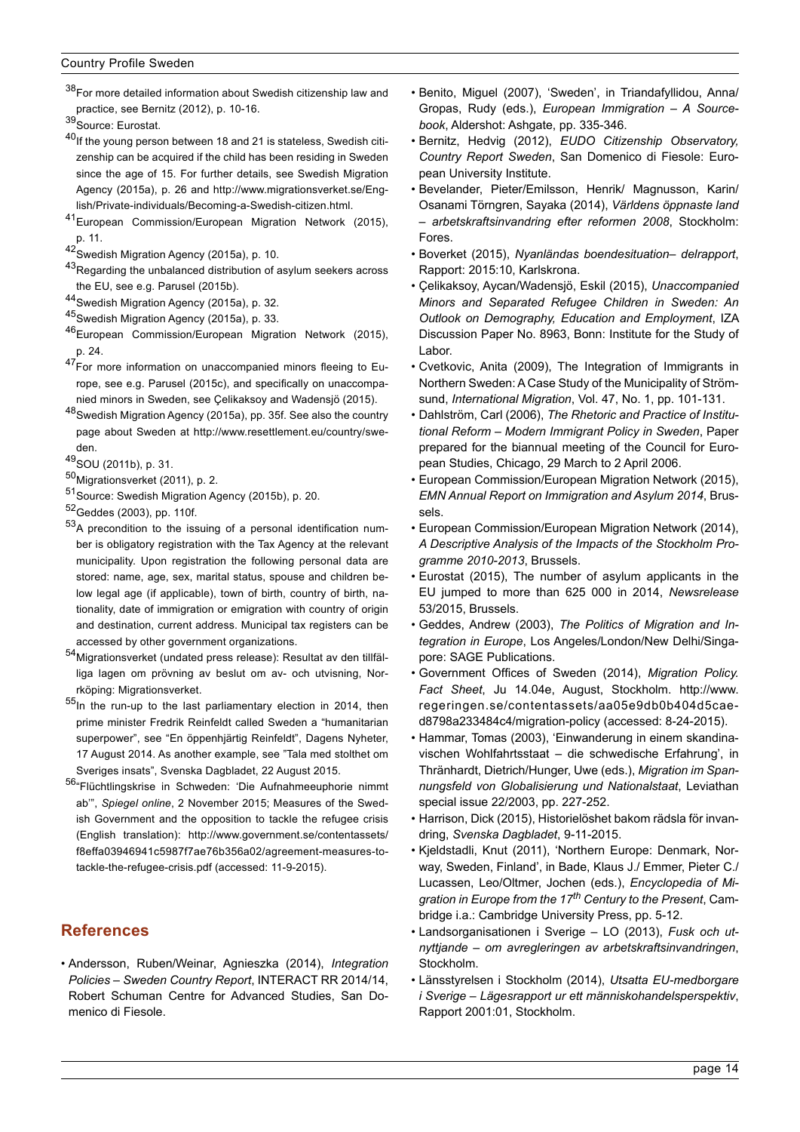38For more detailed information about Swedish citizenship law and practice, see Bernitz (2012), p. 10-16.

- $40$ If the young person between 18 and 21 is stateless, Swedish citizenship can be acquired if the child has been residing in Sweden since the age of 15. For further details, see Swedish Migration Agency (2015a), p. 26 and [http://www.migrationsverket.se/Eng](http://www.migrationsverket.se/English/Private-individuals/Becoming-a-Swedish-citizen.html)[lish/Private-individuals/Becoming-a-Swedish-citizen.html.](http://www.migrationsverket.se/English/Private-individuals/Becoming-a-Swedish-citizen.html)
- 41European Commission/European Migration Network (2015), p. 11.
- 42Swedish Migration Agency (2015a), p. 10.
- <sup>43</sup>Regarding the unbalanced distribution of asylum seekers across the EU, see e.g. Parusel (2015b).
- 44Swedish Migration Agency (2015a), p. 32.
- 45Swedish Migration Agency (2015a), p. 33.
- 46European Commission/European Migration Network (2015), p. 24.
- $47$  For more information on unaccompanied minors fleeing to Europe, see e.g. Parusel (2015c), and specifically on unaccompanied minors in Sweden, see Çelikaksoy and Wadensjö (2015).
- 48Swedish Migration Agency (2015a), pp. 35f. See also the country page about Sweden at [http://www.resettlement.eu/country/swe](http://www.resettlement.eu/country/sweden)[den](http://www.resettlement.eu/country/sweden).
- 49SOU (2011b), p. 31.
- 50Migrationsverket (2011), p. 2.
- 51 Source: Swedish Migration Agency (2015b), p. 20.
- 52Geddes (2003), pp. 110f.
- <sup>53</sup>A precondition to the issuing of a personal identification number is obligatory registration with the Tax Agency at the relevant municipality. Upon registration the following personal data are stored: name, age, sex, marital status, spouse and children below legal age (if applicable), town of birth, country of birth, nationality, date of immigration or emigration with country of origin and destination, current address. Municipal tax registers can be accessed by other government organizations.
- 54Migrationsverket (undated press release): Resultat av den tillfälliga lagen om prövning av beslut om av- och utvisning, Norrköping: Migrationsverket.
- 55In the run-up to the last parliamentary election in 2014, then prime minister Fredrik Reinfeldt called Sweden a "humanitarian superpower", see "En öppenhjärtig Reinfeldt", Dagens Nyheter, 17 August 2014. As another example, see "Tala med stolthet om Sveriges insats", Svenska Dagbladet, 22 August 2015.
- 56["Flüchtlingskrise in Schweden: 'Die Aufnahmeeuphorie nimmt](http://www.spiegel.de/politik/ausland/fluechtlinge-in-schweden-die-aufnahmeeuphorie-nimmt-ab-a-1060177.html) ab'", *Spiegel online*[, 2 November 2015](http://www.spiegel.de/politik/ausland/fluechtlinge-in-schweden-die-aufnahmeeuphorie-nimmt-ab-a-1060177.html); Measures of the Swedish Government and the opposition to tackle the refugee crisis (English translation): [http://www.government.se/contentassets/](http://www.government.se/contentassets/f8effa03946941c5987f7ae76b356a02/agreement-measures-to-tackle-the-refugee-crisis.pdf) [f8effa03946941c5987f7ae76b356a02/agreement-measures-to](http://www.government.se/contentassets/f8effa03946941c5987f7ae76b356a02/agreement-measures-to-tackle-the-refugee-crisis.pdf)[tackle-the-refugee-crisis.pdf](http://www.government.se/contentassets/f8effa03946941c5987f7ae76b356a02/agreement-measures-to-tackle-the-refugee-crisis.pdf) (accessed: 11-9-2015).

# **References**

• Andersson, Ruben/Weinar, Agnieszka (2014), *Integration Policies – Sweden Country Report*, INTERACT RR 2014/14, Robert Schuman Centre for Advanced Studies, San Domenico di Fiesole.

- Benito, Miguel (2007), 'Sweden', in Triandafyllidou, Anna/ Gropas, Rudy (eds.), *European Immigration – A Sourcebook*, Aldershot: Ashgate, pp. 335-346.
- Bernitz, Hedvig (2012), *EUDO Citizenship Observatory, Country Report Sweden*, San Domenico di Fiesole: European University Institute.
- Bevelander, Pieter/Emilsson, Henrik/ Magnusson, Karin/ Osanami Törngren, Sayaka (2014), *Världens öppnaste land* – *arbetskraftsinvandring efter reformen 2008*, Stockholm: Fores.
- Boverket (2015), *Nyanländas boendesituation– delrapport*, Rapport: 2015:10, Karlskrona.
- Çelikaksoy, Aycan/Wadensjö, Eskil (2015), *Unaccompanied Minors and Separated Refugee Children in Sweden: An Outlook on Demography, Education and Employment*, IZA Discussion Paper No. 8963, Bonn: Institute for the Study of Labor.
- Cvetkovic, Anita (2009), The Integration of Immigrants in Northern Sweden: A Case Study of the Municipality of Strömsund, *International Migration*, Vol. 47, No. 1, pp. 101-131.
- Dahlström, Carl (2006), *The Rhetoric and Practice of Institutional Reform – Modern Immigrant Policy in Sweden*, Paper prepared for the biannual meeting of the Council for European Studies, Chicago, 29 March to 2 April 2006.
- European Commission/European Migration Network (2015), *EMN Annual Report on Immigration and Asylum 2014*, Brussels.
- European Commission/European Migration Network (2014), *A Descriptive Analysis of the Impacts of the Stockholm Programme 2010-2013*, Brussels.
- Eurostat (2015), The number of asylum applicants in the EU jumped to more than 625 000 in 2014, *Newsrelease*  53/2015, Brussels.
- Geddes, Andrew (2003), *The Politics of Migration and Integration in Europe*, Los Angeles/London/New Delhi/Singapore: SAGE Publications.
- Government Offices of Sweden (2014), *Migration Policy. Fact Sheet*, Ju 14.04e, August, Stockholm. [http://www.](http://www.regeringen.se/contentassets/aa05e9db0b404d5caed8798a233484c4/migration-policy) [regeringen.se/contentassets/aa05e9db0b404d5cae](http://www.regeringen.se/contentassets/aa05e9db0b404d5caed8798a233484c4/migration-policy)[d8798a233484c4/migration-policy](http://www.regeringen.se/contentassets/aa05e9db0b404d5caed8798a233484c4/migration-policy) (accessed: 8-24-2015).
- Hammar, Tomas (2003), 'Einwanderung in einem skandinavischen Wohlfahrtsstaat – die schwedische Erfahrung', in Thränhardt, Dietrich/Hunger, Uwe (eds.), *Migration im Spannungsfeld von Globalisierung und Nationalstaat*, Leviathan special issue 22/2003, pp. 227-252.
- Harrison, Dick (2015), Historielöshet bakom rädsla för invandring, *Svenska Dagbladet*, 9-11-2015.
- Kjeldstadli, Knut (2011), 'Northern Europe: Denmark, Norway, Sweden, Finland', in Bade, Klaus J./ Emmer, Pieter C./ Lucassen, Leo/Oltmer, Jochen (eds.), *Encyclopedia of Migration in Europe from the 17th Century to the Present*, Cambridge i.a.: Cambridge University Press, pp. 5-12.
- Landsorganisationen i Sverige LO (2013), *Fusk och utnyttjande – om avregleringen av arbetskraftsinvandringen*, Stockholm.
- Länsstyrelsen i Stockholm (2014), *Utsatta EU-medborgare i Sverige – Lägesrapport ur ett människohandelsperspektiv*, Rapport 2001:01, Stockholm.

<sup>39</sup> Source: Eurostat.